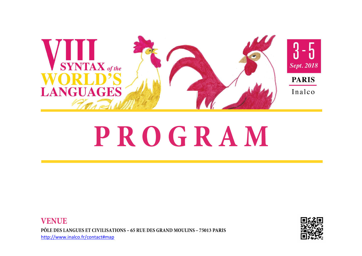





## PROGRAM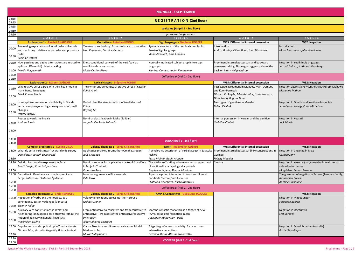|                |                                                     |                                                                          | <b>MONDAY, 3 SEPTEMBER</b>                                                  |                                                               |                                         |
|----------------|-----------------------------------------------------|--------------------------------------------------------------------------|-----------------------------------------------------------------------------|---------------------------------------------------------------|-----------------------------------------|
| 08:15          |                                                     |                                                                          |                                                                             |                                                               |                                         |
| 09:15          |                                                     | <b>REGISTRATION (2nd floor)</b>                                          |                                                                             |                                                               |                                         |
| 09:15<br>09:50 |                                                     |                                                                          | <b>Welcome (Amphi 1 - 2nd floor)</b>                                        |                                                               |                                         |
| 09:50          |                                                     |                                                                          | pause to change rooms                                                       |                                                               |                                         |
|                | AMPHI <sub>1</sub>                                  | AMPHI <sub>2</sub>                                                       | AMPHI3                                                                      | AMPHI5                                                        | AMPHI6                                  |
|                | <b>Explanation 1 - Aimée LAHAUSSOIS</b>             | <b>Quotatives - Ekkehard KÖNIG</b>                                       | <b>Sign languages - Stéphane ROBERT</b>                                     | <b>WS5: Differential internal possession</b>                  | <b>WS2: Negation</b>                    |
| 10:00          | Processing explanations of word order universals    | Yimarne in Kunbarlang: from similative to quotative                      | Syntactic structure of the nominal complex in                               | Introduction                                                  | Introduction                            |
|                | and diachrony: relative clause order and possessor  | Ivan Kapitonov, Caroline Gentens                                         | Russian Sign Language                                                       | András Bárány, Oliver Bond, Irina Nikolaeva                   | Matti Miestamo, Ljuba Veselinova        |
| 10:30          | order<br>Sonia Cristofaro                           |                                                                          | Anna Klezovich, Kirill Aksenov                                              |                                                               |                                         |
| 10:30          | How passives and dative alternations are related to | Enets conditional converb of the verb 'say' as                           | conically motivated subject drop in two sign                                | Prominent internal possessors and backward                    | Negation in Yupik-Inuit languages       |
|                | split (or differential) object marking              | conditional clause marker                                                | languages                                                                   | possessor raising: Norwegian ryggen på ham 'the               | Jerrold Sadock, Anthony Woodbur         |
|                | 11:00 Martin Haspelmath                             | Maria Ovsjannikova                                                       | Marloes Oomen, Vadim Kimmelman                                              | back on him' - Helge Lødrup                                   |                                         |
| 11:00<br>11:30 | Coffee break (Hall 2 - 2nd floor)                   |                                                                          |                                                                             |                                                               |                                         |
|                | <b>Explanation 2 - Rozenn GUÉROIS</b>               | <b>Lexical classes - Stéphane ROBERT</b>                                 |                                                                             | <b>WS5: Differential internal possession</b>                  | <b>WS2: Negation</b>                    |
| 11:30          | Why relative verbs agree with their head noun in    | The syntax and semantics of stative verbs in Kavalan                     |                                                                             | Possessive agreement in Meadow Mari, Udmurt,                  | Negation against a Polysynthetic B      |
|                | many Bantu languages                                | <b>Fuhui Hsieh</b>                                                       |                                                                             | and Komi-Permyak                                              | Marianne Mithun                         |
| 12:00          | Mark Van de Velde                                   |                                                                          |                                                                             | Nikolett F. Gulyás, Erika Asztalos, Laura Horváth,            |                                         |
|                | Isomorphism, conversion and lability in Mande       | Verbal classifier structures in the Wu dialects of                       |                                                                             | Ditta Szabó, Bogáta Timár<br>Two types of genitives in Moksha | Negation in Oneida and Northern         |
| 12:00          | verbal morphosyntax: big consequences of small      | China                                                                    |                                                                             | Polina Pleshak                                                | Jean-Pierre Koenig, Karin Michelso      |
|                | changes                                             | <b>Boyang Liu</b>                                                        |                                                                             |                                                               |                                         |
| 12:30          | <b>Dmitry Idiatov</b>                               |                                                                          |                                                                             |                                                               |                                         |
|                | Routes towards the irrealis                         | Nominal classification in Mako (Sáliban)                                 |                                                                             | Internal possession in Korean and the genitive                | Negation in Koasati                     |
|                | 12:30 Andrea Sansò                                  | Jorge Emilio Rosés Labrada                                               |                                                                             | <b>Christine Chabot</b>                                       | Jack Martin                             |
| 13:00          |                                                     |                                                                          |                                                                             |                                                               |                                         |
| 13:00          |                                                     |                                                                          |                                                                             |                                                               |                                         |
| 14:00          |                                                     |                                                                          | LUNCH (Hall 2 - 2nd floor)                                                  |                                                               |                                         |
|                | <b>Complex predicates 1 - Eveling VILLA</b>         | <b>Valency changing 1 - Sonia CRISTOFARO</b>                             | <b>TAMP - Maximilien GUÉRIN</b>                                             | <b>WS5: Differential internal possession</b>                  | <b>WS2: Negation</b>                    |
| 14:00          | What do serial verbs mean? A worldwide survey       | Applicative prefixes in Umo <sup>n</sup> ho <sup>n</sup> (Omaha, Siouan) | A synchronic description of verbal aspect in Salasaka                       | Prominent internal possessor (PiP) constructions in           | Negation in Chuxnabán Mixe              |
|                | Daniel Ross, Joseph Lovestrand                      | Julie Marsault                                                           | Kichwa                                                                      | Gurindji                                                      | Carmen Jany                             |
| 14:30          |                                                     |                                                                          | Tessa Molnar, Robin Aronow                                                  | <b>Felicity Meakins</b>                                       |                                         |
| 14:30          | Deictic directionality exponents in Emai            | Nominal sources for applicative markers? Classifiers                     | The Hittite suffix - ške/a- between verbal aspect and                       | Closure                                                       | Negation in Yukuna: (a)symmetrie        |
|                | Ron Schaefer, Francis Egbokhare                     | in Mojeño Trinitario                                                     | pluractionality: a typological approach                                     |                                                               | subordinate clauses                     |
| 15:00          |                                                     | Françoise Rose                                                           | Guglielmo Inglese, Simone Mattiola                                          |                                                               | Magdalena Lemus Serrano                 |
| 15:00          | Causative in Ossetian as a complex predicate        | Locative arguments in Kinyarwanda                                        | Aspect-negation interaction in Komi and Udmurt                              |                                                               | The grammar of negation in Tacan        |
| 15:30          | Sergei Tatevosov, Ekaterina Lyutikova               | Kyle Jerro                                                               | non-finite 'before'/'until'-clauses<br>Ekaterina Georgieva, Nikita Muraviev |                                                               | Amazonian Bolivia)<br>Antoine Guillaume |
| 15:30          | Coffee break (Hall 2 - 2nd floor)                   |                                                                          |                                                                             |                                                               |                                         |
| 16:00          | <b>Complex predicates 2 - Chris REINTGES</b>        | <b>Valency changing 2 - Sonia CRISTOFARO</b>                             | <b>TAMP &amp; Connectives - Guillaume JACQUES</b>                           |                                                               | <b>WS2: Negation</b>                    |
| 16:00          | Repetition of verbs and their objects as a          | Valency alternations across Northern Eurasia                             |                                                                             |                                                               | Negation in Mapudungun                  |
|                | constituency test in Vatlongos (Vanuatu)            | Nicklas Oranen                                                           |                                                                             |                                                               | Fernando Zúñiga                         |
|                | 16:30 Eleanor Ridge                                 |                                                                          |                                                                             |                                                               |                                         |
|                | Auxiliary verb constructions in Wolof and           | From antipassive to causative and from causative to                      | Morphosyntactic reanalysis as a trigger of new                              |                                                               | Negation in Ungarinyin                  |
| 16:30          | neighboring languages: a case-study to rethink the  | antipassive: Two cases of the antipassive/causative                      | TAME paradigms formation in Zan                                             |                                                               | <b>Stef Spronck</b>                     |
| 17:00          | notion of auxiliary in general linguistics          | syncretism                                                               | Alexander Rostovtsev-Popiel                                                 |                                                               |                                         |
|                | Maximilien Guérin                                   | Albert Alvarez Gonzalez                                                  |                                                                             |                                                               |                                         |
| 17:00          | Copular verbs and copula drop in Tundra Nenets      | Clause Structure and Grammaticalisation: Modal                           | A typology of non-exhaustivity: focus on non-                               |                                                               | Negation in Murrinhpatha (Austra        |
|                | Nikolett Mus, Veronika Hegedűs, Balázs Surányi      | Markers in Tat                                                           | exhaustive connectives                                                      |                                                               | <b>Rachel Nordlinger</b>                |
| 17:30          |                                                     | Murad Suleymanov                                                         | Caterina Mauri, Alessandra Barotto                                          |                                                               |                                         |
| 17:30          |                                                     |                                                                          | <b>COCKTAIL (Hall 2 - 2nd floor)</b>                                        |                                                               |                                         |
| 19:00          |                                                     |                                                                          |                                                                             |                                                               |                                         |

| AMPHI5                                                                                                                                                                                              | AMPHI6                                                                                               |
|-----------------------------------------------------------------------------------------------------------------------------------------------------------------------------------------------------|------------------------------------------------------------------------------------------------------|
| <b>WS5: Differential internal possession</b>                                                                                                                                                        | <b>WS2: Negation</b>                                                                                 |
| Introduction<br>András Bárány, Oliver Bond, Irina Nikolaeva                                                                                                                                         | Introduction<br>Matti Miestamo, Ljuba Veselinova                                                     |
| Prominent internal possessors and backward<br>possessor raising: Norwegian ryggen på ham 'the<br>back on him' - Helge Lødrup                                                                        | Negation in Yupik-Inuit languages<br>Jerrold Sadock, Anthony Woodbury                                |
|                                                                                                                                                                                                     |                                                                                                      |
| <b>WS5: Differential internal possession</b><br>Possessive agreement in Meadow Mari, Udmurt,<br>and Komi-Permyak<br>Nikolett F. Gulyás, Erika Asztalos, Laura Horváth,<br>Ditta Szabó, Bogáta Timár | <b>WS2: Negation</b><br>Negation against a Polysynthetic Backdrop: Mohawk<br><b>Marianne Mithun</b>  |
| Two types of genitives in Moksha<br>Polina Pleshak                                                                                                                                                  | Negation in Oneida and Northern Iroquoian<br>Jean-Pierre Koenig, Karin Michelson                     |
| Internal possession in Korean and the genitive<br><b>Christine Chabot</b>                                                                                                                           | Negation in Koasati<br><b>Jack Martin</b>                                                            |
|                                                                                                                                                                                                     |                                                                                                      |
| <b>WS5: Differential internal possession</b>                                                                                                                                                        | <b>WS2: Negation</b>                                                                                 |
| Prominent internal possessor (PiP) constructions in<br>Gurindji<br><b>Felicity Meakins</b>                                                                                                          | Negation in Chuxnabán Mixe<br>Carmen Jany                                                            |
| Closure                                                                                                                                                                                             | Negation in Yukuna: (a)symmetries in main versus<br>subordinate clauses<br>Magdalena Lemus Serrano   |
|                                                                                                                                                                                                     | The grammar of negation in Tacana (Takanan family,<br>Amazonian Bolivia)<br><b>Antoine Guillaume</b> |
|                                                                                                                                                                                                     |                                                                                                      |
|                                                                                                                                                                                                     | <b>WS2: Negation</b>                                                                                 |
|                                                                                                                                                                                                     | Negation in Mapudungun<br>Fernando Zúñiga                                                            |
|                                                                                                                                                                                                     | Negation in Ungarinyin<br><b>Stef Spronck</b>                                                        |
|                                                                                                                                                                                                     | Negation in Murrinhpatha (Australia)<br><b>Rachel Nordlinger</b>                                     |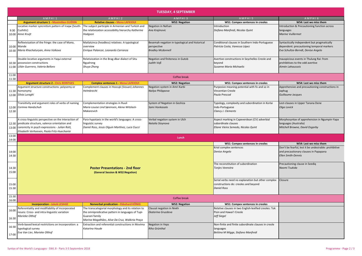|                | <b>TUESDAY, 4 SEPTEMBER</b>                                                                                                                             |                                                      |                                                |                                                       |                                                       |
|----------------|---------------------------------------------------------------------------------------------------------------------------------------------------------|------------------------------------------------------|------------------------------------------------|-------------------------------------------------------|-------------------------------------------------------|
|                | AMPHI <sub>1</sub>                                                                                                                                      | AMPHI <sub>2</sub>                                   | AMPHI3                                         | AMPHI5                                                | AMPHI6                                                |
|                | <b>Argument structure 1 - Maximilien GUÉRIN</b>                                                                                                         | <b>Relative clauses - Mena LAFKIOUI</b>              | <b>WS2: Negation</b>                           | <b>WS1: Compex sentences in creoles</b>               | WS4: Lest we miss them                                |
|                | Locative marker syncretism pattern of Iraqw (South-                                                                                                     | The subject participle in Armenian and Turkish and   | Negation in Nafsan                             | Introduction                                          | Introduction & Precautioning function across          |
|                | 9:30 Cushitic)                                                                                                                                          | the relativization accessibility hierarchy Katherine | Ana Krajinovic                                 | Stefano Manfredi, Nicolas Quint                       | languages                                             |
|                | 10:00 Anne Kruijt                                                                                                                                       | Hodgson                                              |                                                |                                                       | Marine Vuillermet                                     |
|                |                                                                                                                                                         |                                                      |                                                |                                                       |                                                       |
|                | Reflexivization of the fringe: the case of Mano,                                                                                                        | Matlatzinca (headless) relatives: A typological      | Besemah negation in typological and historical | Conditional clauses in Southern Indo-Portuguese       | Syntactically independent but pragmatically           |
| 10:00 Mande    |                                                                                                                                                         | overview                                             | perspective                                    | Patrícia Costa, Vanessa López                         | dependent: precautioning temporal markers             |
|                | 10:30 Maria Khachaturyan, Anna Volkova                                                                                                                  | Enrique Palancar, Leonardo Carranza                  | <b>Bradley Mcdonnell</b>                       |                                                       | Eva Schultze-Berndt, Denise Angelo                    |
|                |                                                                                                                                                         |                                                      |                                                |                                                       |                                                       |
|                | Double-locative arguments in Yaqui external                                                                                                             | Relativization in the Brag-dbar dialect of Situ      | Negation and finiteness in Gutob               | Avertive constructions in Seychelles Creole and       | Inauspicious events in Thulung Rai: from              |
|                | 10:30 possession constructions                                                                                                                          |                                                      | Judith Voß                                     |                                                       | prohibitives to the odd avertive                      |
|                |                                                                                                                                                         | Rgyalrong                                            |                                                | beyond                                                |                                                       |
|                | 11:00 Lilián Guerrero, Valeria Belloro                                                                                                                  | Shuya Zhang                                          |                                                | Susanne Maria Michaelis                               | Aimée Lahaussois                                      |
| 11:00          |                                                                                                                                                         |                                                      |                                                |                                                       |                                                       |
| 11:30          |                                                                                                                                                         |                                                      | Coffee break                                   |                                                       |                                                       |
|                | <b>Argument structure 2 - Chris REINTGES</b>                                                                                                            | <b>Complex sentences 1 - Mena LAFKIOUI</b>           | <b>WS2: Negation</b>                           | <b>WS1: Compex sentences in creoles</b>               | WS4: Lest we miss them                                |
|                | Argument structure constructions: polysemy or                                                                                                           | Complement clauses in Hoocąk (Siouan) Johannes       | Negation system in Amri Karbi                  | Purposive meaning potential with fo and so in         | Apprehensive and precautioning constructions in       |
|                | 11:30 homonymy                                                                                                                                          | Helmbrecht                                           | Nailya Philippova                              | Vincentian Creole                                     | Japhug                                                |
|                | 12:00 Silvia Luraghi                                                                                                                                    |                                                      |                                                | Paula Prescod                                         | Guillaume Jacques                                     |
|                |                                                                                                                                                         |                                                      |                                                |                                                       |                                                       |
|                | Transitivity and argument roles of verbs of naming                                                                                                      | Complementation strategies in Ruuli                  | System of Negation in Geshiza                  | Typology, complexity and subordination in Korlai      | Lest-clauses in Upper Tanana Dene                     |
|                | 12:00 Corinna Handschuh                                                                                                                                 | Marie-Louise Lind Sørensen, Alena Witzlack-          | Sami Honkasalo                                 | Indo-Portuguese                                       | Olga Lovick                                           |
| 12:30          |                                                                                                                                                         | Makarevich                                           |                                                | Clancy J. Clements                                    |                                                       |
|                |                                                                                                                                                         |                                                      |                                                |                                                       |                                                       |
|                | A cross-linguistic perspective on the interaction of                                                                                                    | Para-hypotaxis in the world's languages: A cross-    | Verbal negation system in Ulch                 | Aspect marking in Capeverdean (CV) adverbial          | Morphosyntax of apprehension in Ngumpin-Yapa          |
|                | 12:30 predicate structure, valence orientation and                                                                                                      | linguistic survey                                    | Natalia Stoynova                               | subordinate clauses                                   | languages (Australia)                                 |
|                | 13:00 Canonicity in psych expressions - Julian Rott,                                                                                                    | Daniel Ross, Jesús Olguín Martínez, Luca Ciucci      |                                                | Eliane Vieira Semedo, Nicolas Quint                   | Mitchell Browne, David Osgarby                        |
|                | Elisabeth Verhoeven, Paola Fritz-Huechante                                                                                                              |                                                      |                                                |                                                       |                                                       |
| 13:00          |                                                                                                                                                         |                                                      | Lunch                                          |                                                       |                                                       |
| 14:00          |                                                                                                                                                         |                                                      |                                                |                                                       |                                                       |
|                |                                                                                                                                                         |                                                      |                                                | <b>WS1: Compex sentences in creoles</b>               | WS4: Lest we miss them                                |
|                |                                                                                                                                                         |                                                      |                                                | Kriol complex sentences                               | Don't be fearful, lest it be undesirable: prohibitive |
| 14:00          |                                                                                                                                                         |                                                      |                                                | Denise Angelo                                         | and precautionary clauses in Papapana                 |
| 14:30          |                                                                                                                                                         |                                                      |                                                |                                                       | Ellen Smith-Dennis                                    |
|                |                                                                                                                                                         |                                                      |                                                |                                                       |                                                       |
|                |                                                                                                                                                         |                                                      |                                                | The reconstitution of subordination                   | Precautioning clause in Seediq                        |
| 14:30          |                                                                                                                                                         | <b>Poster Presentations - 2nd floor</b>              |                                                | Tonjes Veenstra                                       | Naomi Tsukida                                         |
| 15:00          |                                                                                                                                                         | (General Session & WS2:Negation)                     |                                                |                                                       |                                                       |
|                |                                                                                                                                                         |                                                      |                                                |                                                       |                                                       |
|                |                                                                                                                                                         |                                                      |                                                | Serial verbs need no explanation but other complex    | Closure                                               |
| 15:00          |                                                                                                                                                         |                                                      |                                                | constructions do: creoles and beyond                  |                                                       |
| 15:30          |                                                                                                                                                         |                                                      |                                                | <b>Daniel Ross</b>                                    |                                                       |
|                |                                                                                                                                                         |                                                      |                                                |                                                       |                                                       |
| 15:30<br>16:00 |                                                                                                                                                         |                                                      | Coffee break                                   |                                                       |                                                       |
|                | <b>Incorporation - Jakob LESAGE</b><br><b>Nonverbal predication - Ekkehard KÖNIG</b><br><b>WS2: Negation</b><br><b>WS1: Compex sentences in creoles</b> |                                                      |                                                |                                                       |                                                       |
|                | Referentiality and modifiability of incorporated                                                                                                        | The transcategorial morphology and its relation to   | Clausal negation in Nivkh                      | Relative clauses in two English-lexified creoles: Tok |                                                       |
| 16:00          | nouns: Cross- and intra-linguistic variation                                                                                                            | the omnipredicative pattern in languages of Tupi-    | Ekaterina Gruzdeva                             | Pisin and Hawai'i Creole                              |                                                       |
|                | Marieke Olthof                                                                                                                                          | Guarani family                                       |                                                | Jeff Siegel                                           |                                                       |
| 16:30          |                                                                                                                                                         | Marina Magalhães, Alive Da Cruz, Walkiria Praça      |                                                |                                                       |                                                       |
|                | Verb-based lexical restrictions on incorporation: a                                                                                                     | Extraction and referential constructions in Movima   | <b>Negation in Veps</b>                        | Non-finite and finite subordinate clauses in creole   |                                                       |
| 16:30          | typological survey                                                                                                                                      | Katarina Haude                                       | Riho Grünthal                                  | <b>languages</b>                                      |                                                       |
|                | Eva Van Lier, Marieke Olthof                                                                                                                            |                                                      |                                                | Bettina M Migge, Stefano Manfredi                     |                                                       |
| 17:00          |                                                                                                                                                         |                                                      |                                                |                                                       |                                                       |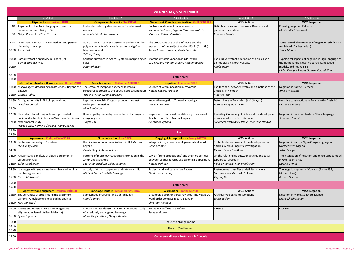|                | <b>WEDNESDAY, 5 SEPTEMBER</b>                                           |                                                                                              |                                                                                                        |                                                                          |                                                                           |
|----------------|-------------------------------------------------------------------------|----------------------------------------------------------------------------------------------|--------------------------------------------------------------------------------------------------------|--------------------------------------------------------------------------|---------------------------------------------------------------------------|
|                | AMPHI <sub>1</sub>                                                      | AMPHI <sub>2</sub>                                                                           | AMPHI3                                                                                                 | AMPHI5                                                                   | AMPHI6                                                                    |
|                | <b>Alignment - Katharina HAUDE</b>                                      | <b>Complex sentences 2 - Elsa OREAL</b>                                                      | <b>Variation &amp; Complex predication - Guill. SEGERER</b>                                            | <b>WS3: Articles</b>                                                     | <b>WS2: Negation</b>                                                      |
|                | 9:00 Alignment in the Andic languages: towards a                        | Embedded interrogatives in some French-based                                                 | Control violation in Russian converbs                                                                  | Definite articles and their uses: Diversity and                          | Khinalug Negation Patterns                                                |
|                | definition of transitivity in Zilo                                      | creoles                                                                                      | Svetlana Puzhaeva, Evgeniy Glazunov, Natalia                                                           | patterns of variation                                                    | Monika Rind-Pawlowski                                                     |
|                | 9:30 Neige Rochant, Hélène Gérardin                                     | Anne Abeillé, Shrita Hassamal                                                                | Slioussar, Natalia Zevakhina                                                                           | <b>Ekkehard Koenig</b>                                                   |                                                                           |
| 9:30           | Grammatical relations, case-marking and person                          | At a crossroads between discourse and syntax: the                                            | The predicative use of the infinitive and the                                                          |                                                                          | Some remarkable features of negative verb forms in                        |
|                | hierarchy in Wampis                                                     | polyfunctionality of clause linkers ru' and ga' in                                           | expression of the subject in Jóola Fóoñi (Atlantic)                                                    |                                                                          | Andi (Nakh-Daghestanian)                                                  |
|                | 10:00 Jaime Peña                                                        | Mayrinax Atayal<br>Yi-Yang Cheng                                                             | Alain Christian Bassene, Denis Creissels                                                               |                                                                          | <b>Timur Maisak</b>                                                       |
|                | 10:00 Partial syntactic ergativity in Panará (Jê)                       | Content questions in Abaza: Syntax in morphological Morphosyntactic variation in Old Swahili |                                                                                                        | The elusive syntactic definition of articles as a                        | Typological aspects of negation in Sign Language of                       |
|                | <b>Bernat Bardagil-Mas</b>                                              | guise                                                                                        | Lutz Marten, Hannah Gibson, Rozenn Guérois                                                             | unified class in North Vanuatu                                           | the Netherlands: Negative particles, negative                             |
| 10:30          |                                                                         | Peter Arkadiev                                                                               |                                                                                                        | Agnès Henri                                                              | modals, and neg-raising                                                   |
|                |                                                                         |                                                                                              |                                                                                                        |                                                                          | Ulrika Klomp, Marloes Oomen, Roland Pfau                                  |
| 10:30<br>11:00 |                                                                         |                                                                                              | Coffee break                                                                                           |                                                                          |                                                                           |
|                | Information structure & word order - Kath. HAUDE                        | <b>Reported speech - Guillaume SEGERER</b>                                                   | <b>Negation</b> Françoise ROSE                                                                         | <b>WS3: Articles</b>                                                     | <b>WS2: Negation</b>                                                      |
|                | 11:00 Mocoví agent-defocusing constructions: Beyond the                 | The syntax of logophoric speech: Toward a                                                    | Sources of verbal negation in Yawarana                                                                 | The feedback between syntax and functions of the                         | Negation in Kabyle (Berber)                                               |
|                | passive                                                                 | structural approach to the direct-indirect continuum   Natalia Cáceres Arandia               |                                                                                                        | article ni in Yokot'an                                                   | Amina Mettouchi                                                           |
|                | 11:30 Cristian Juárez                                                   | Tatiana Nikitina, Anna Bugaeva                                                               |                                                                                                        | <b>Maurice Pico</b>                                                      |                                                                           |
|                | 11:30 Configurationality in Ngkolmpu revisited                          | Reported speech in Dargwa: pronouns against                                                  | mperative negation: Toward a typology                                                                  | Determiners in Tojol-ab'al [toj] (Mayan)                                 | Negative constructions in Beja (North - Cushitic)                         |
|                | <b>Matthew Carroll</b>                                                  | verbal person marking                                                                        | Daniel Van Olmen                                                                                       | Antonio Magana Macias                                                    | Martine Vanhove                                                           |
| 12:00          |                                                                         | Nina Sumbatova                                                                               |                                                                                                        |                                                                          |                                                                           |
|                | 12:00 Phrasal or clausal conjunction? - postverbal                      | How empathy hierarchy is reflected in Khroskyabs                                             | Negation, prosody and constituency: the case of                                                        | Revisiting Greenberg: Articles and the development                       | Negation in Lopit, an Eastern Nilotic language                            |
|                | conjoined subjects in Bosnian/Croatian/ Serbian: an                     | morphosyntax                                                                                 | Kakabe, a Western Mande language                                                                       | of case markers in Early Georgian                                        | Jonathan Moodie                                                           |
|                | 12:30 experimental study                                                | Yunfan Lai                                                                                   | Alexandra Vydrina                                                                                      | Alexander Rostovtsev-Popiel, Lela Tsikhelashvili                         |                                                                           |
|                | Nedzad Leko, Nermina Čordalija, Ivana Jovović                           |                                                                                              |                                                                                                        |                                                                          |                                                                           |
| 12:30          |                                                                         |                                                                                              | Lunch                                                                                                  |                                                                          |                                                                           |
| 13:30          | <b>Agreement - Enrique PALANCAR</b>                                     | <b>Nominalization - Elsa OREAL</b>                                                           | <b>Flagging &amp; Interpositions Ronny MEYER</b>                                                       | <b>WS3: Articles</b>                                                     | <b>WS2: Negation</b>                                                      |
|                | 13:30 Politeness hierarchy in Chuukese                                  | Nominalization of nominalizations in Hill Mari and                                           | nterpositions, a rare type of grammatical word                                                         | Syntactic determinants of the development of                             | Negation in Kam, a Niger-Congo language of                                |
|                | Hyun-Jong Hahm                                                          | beyond                                                                                       | <b>Denis Creissels</b>                                                                                 | articles: A cross-linguistic investigation                               | Northeastern Nigeria                                                      |
| 14:00          |                                                                         | Ksenia Shagal, Anna Volkova                                                                  |                                                                                                        | Karsten Schmidtke-Bode                                                   | Jakob Lesage                                                              |
|                |                                                                         |                                                                                              |                                                                                                        |                                                                          |                                                                           |
|                | 14:00 A quantitative analysis of object agreement in<br>Luruuli/Lunyara | Patterns of morphosyntactic transformation in the<br>Amur Linguistic Area                    | .atvian "semi-prepositions" and their properties:<br>between spatial adverbs and canonical adpositions | On the relationship between articles and case: A<br>typological approach | The interaction of negation and tense-aspect-mood<br>in Gyeli (Bantu A80) |
|                | 14:30 Erika Weinberger                                                  | Ekaterina Gruzdeva, Juha Janhunen                                                            | Natalia Perkova                                                                                        | Kaius Sinnemaki, Max Wahlström                                           | <b>Nadine Grimm</b>                                                       |
|                |                                                                         |                                                                                              |                                                                                                        |                                                                          |                                                                           |
|                | 14:30 Languages with set nouns do not have adnominal                    | A study of O'dam suppletion and category shift                                               | Subjecthood and case in Lun Bawang                                                                     | Post-nominal classifier as definite article in                           | The negation system of Cuwabo (Bantu P34,                                 |
|                | number agreement                                                        | Michael Everdell, Kristin Denlinger                                                          | <b>Charlotte Hemmings</b>                                                                              | Southwestern Mandarin Chinese                                            | Mozambique)                                                               |
|                | 15:00 Ranko Matasović                                                   |                                                                                              |                                                                                                        | Jingting Ye                                                              | Rozenn Guérois                                                            |
| 15:00<br>15:30 | <b>Coffee break</b>                                                     |                                                                                              |                                                                                                        |                                                                          |                                                                           |
|                | <b>Agentivity and alignment - Mirjam MÖLLER</b>                         | Language contact - Alexandra VYDRINA                                                         | <b>Word order - Ronny MEYER</b>                                                                        | <b>WS3: Articles</b>                                                     | <b>WS2: Negation</b>                                                      |
|                | 15:30 The semantics of split-intransitive alignment                     | Subjecthood properties in Salar language                                                     | Greenberg's sixth universal revisited: The VSO/SVO                                                     | Articles: typological observations                                       | Negation in Mano, Southern Mande                                          |
|                | systems: A multidimensional scaling analysis                            | <b>Camille Simon</b>                                                                         | word order contrast in Early Egyptian                                                                  | Laura Becker                                                             | Maria Khachaturyan                                                        |
|                | 16:00 Jens Van Gysel                                                    |                                                                                              | Christoph Reintges                                                                                     |                                                                          |                                                                           |
|                | 16:00 Agents and transitivity $-$ a look at agentive                    | Enets non-finite clauses: an intergenerational study                                         | Polyvalent suffixes in Garifuna                                                                        | <b>Closure</b>                                                           | <b>Closure</b>                                                            |
|                | alignment in Semai (Aslian, Malaysia)                                   | of a seriously endangered language                                                           | Pamela Munro                                                                                           |                                                                          |                                                                           |
|                | 16:30 Sylvia Tufvesson                                                  | Maria Ovsjannikova, Olesya Khanina                                                           |                                                                                                        |                                                                          |                                                                           |
| 16:30          |                                                                         | pause to change rooms                                                                        |                                                                                                        |                                                                          |                                                                           |
| 16:40          | <b>Closure (Auditorium)</b>                                             |                                                                                              |                                                                                                        |                                                                          |                                                                           |
| 17:20          |                                                                         |                                                                                              |                                                                                                        |                                                                          |                                                                           |
| 19:00          | <b>Conference dinner - Restaurant la Coupole</b>                        |                                                                                              |                                                                                                        |                                                                          |                                                                           |